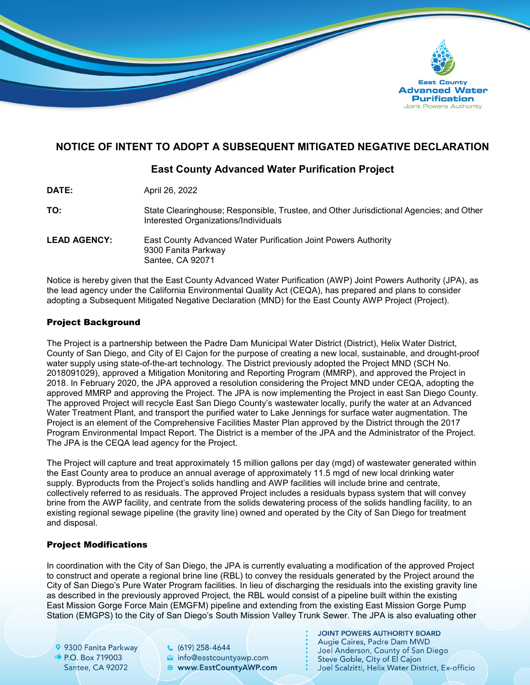

# **NOTICE OF INTENT TO ADOPT A SUBSEQUENT MITIGATED NEGATIVE DECLARATION**

# **East County Advanced Water Purification Project**

| April 26, 2022 |
|----------------|
|                |

**TO:** State Clearinghouse; Responsible, Trustee, and Other Jurisdictional Agencies; and Other Interested Organizations/Individuals

**LEAD AGENCY:** East County Advanced Water Purification Joint Powers Authority 9300 Fanita Parkway Santee, CA 92071

Notice is hereby given that the East County Advanced Water Purification (AWP) Joint Powers Authority (JPA), as the lead agency under the California Environmental Quality Act (CEQA), has prepared and plans to consider adopting a Subsequent Mitigated Negative Declaration (MND) for the East County AWP Project (Project).

#### Project Background

The Project is a partnership between the Padre Dam Municipal Water District (District), Helix Water District, County of San Diego, and City of El Cajon for the purpose of creating a new local, sustainable, and drought-proof water supply using state-of-the-art technology. The District previously adopted the Project MND (SCH No. 2018091029), approved a Mitigation Monitoring and Reporting Program (MMRP), and approved the Project in 2018. In February 2020, the JPA approved a resolution considering the Project MND under CEQA, adopting the approved MMRP and approving the Project. The JPA is now implementing the Project in east San Diego County. The approved Project will recycle East San Diego County's wastewater locally, purify the water at an Advanced Water Treatment Plant, and transport the purified water to Lake Jennings for surface water augmentation. The Project is an element of the Comprehensive Facilities Master Plan approved by the District through the 2017 Program Environmental Impact Report. The District is a member of the JPA and the Administrator of the Project. The JPA is the CEQA lead agency for the Project.

The Project will capture and treat approximately 15 million gallons per day (mgd) of wastewater generated within the East County area to produce an annual average of approximately 11.5 mgd of new local drinking water supply. Byproducts from the Project's solids handling and AWP facilities will include brine and centrate, collectively referred to as residuals. The approved Project includes a residuals bypass system that will convey brine from the AWP facility, and centrate from the solids dewatering process of the solids handling facility, to an existing regional sewage pipeline (the gravity line) owned and operated by the City of San Diego for treatment and disposal.

### Project Modifications

In coordination with the City of San Diego, the JPA is currently evaluating a modification of the approved Project to construct and operate a regional brine line (RBL) to convey the residuals generated by the Project around the City of San Diego's Pure Water Program facilities. In lieu of discharging the residuals into the existing gravity line as described in the previously approved Project, the RBL would consist of a pipeline built within the existing East Mission Gorge Force Main (EMGFM) pipeline and extending from the existing East Mission Gorge Pump Station (EMGPS) to the City of San Diego's South Mission Valley Trunk Sewer. The JPA is also evaluating other

9 9300 Fanita Parkway  $\bullet$  P.O. Box 719003 Santee, CA 92072

 $(619)$  258-4644 a info@eastcountyawp.com **●** www.EastCountyAWP.com **JOINT POWERS AUTHORITY BOARD** Augie Caires, Padre Dam MWD Joel Anderson, County of San Diego Steve Goble, City of El Cajon Joel Scalzitti, Helix Water District, Ex-officio